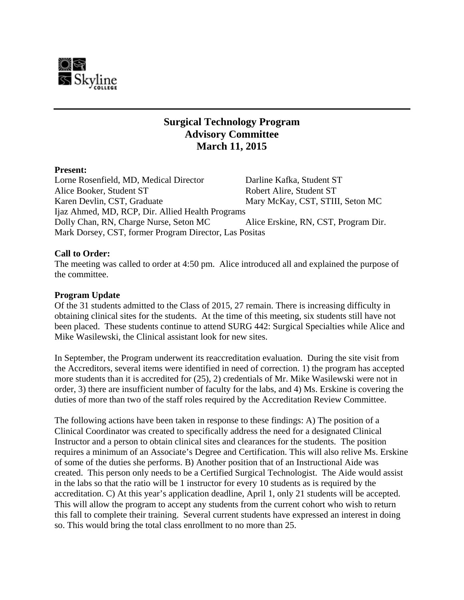

# **Surgical Technology Program Advisory Committee March 11, 2015**

#### **Present:**

Lorne Rosenfield, MD, Medical Director Darline Kafka, Student ST Alice Booker, Student ST Robert Alire, Student ST Karen Devlin, CST, Graduate Mary McKay, CST, STIII, Seton MC Ijaz Ahmed, MD, RCP, Dir. Allied Health Programs Dolly Chan, RN, Charge Nurse, Seton MC Alice Erskine, RN, CST, Program Dir. Mark Dorsey, CST, former Program Director, Las Positas

## **Call to Order:**

The meeting was called to order at 4:50 pm. Alice introduced all and explained the purpose of the committee.

#### **Program Update**

Of the 31 students admitted to the Class of 2015, 27 remain. There is increasing difficulty in obtaining clinical sites for the students. At the time of this meeting, six students still have not been placed. These students continue to attend SURG 442: Surgical Specialties while Alice and Mike Wasilewski, the Clinical assistant look for new sites.

In September, the Program underwent its reaccreditation evaluation. During the site visit from the Accreditors, several items were identified in need of correction. 1) the program has accepted more students than it is accredited for (25), 2) credentials of Mr. Mike Wasilewski were not in order, 3) there are insufficient number of faculty for the labs, and 4) Ms. Erskine is covering the duties of more than two of the staff roles required by the Accreditation Review Committee.

The following actions have been taken in response to these findings: A) The position of a Clinical Coordinator was created to specifically address the need for a designated Clinical Instructor and a person to obtain clinical sites and clearances for the students. The position requires a minimum of an Associate's Degree and Certification. This will also relive Ms. Erskine of some of the duties she performs. B) Another position that of an Instructional Aide was created. This person only needs to be a Certified Surgical Technologist. The Aide would assist in the labs so that the ratio will be 1 instructor for every 10 students as is required by the accreditation. C) At this year's application deadline, April 1, only 21 students will be accepted. This will allow the program to accept any students from the current cohort who wish to return this fall to complete their training. Several current students have expressed an interest in doing so. This would bring the total class enrollment to no more than 25.